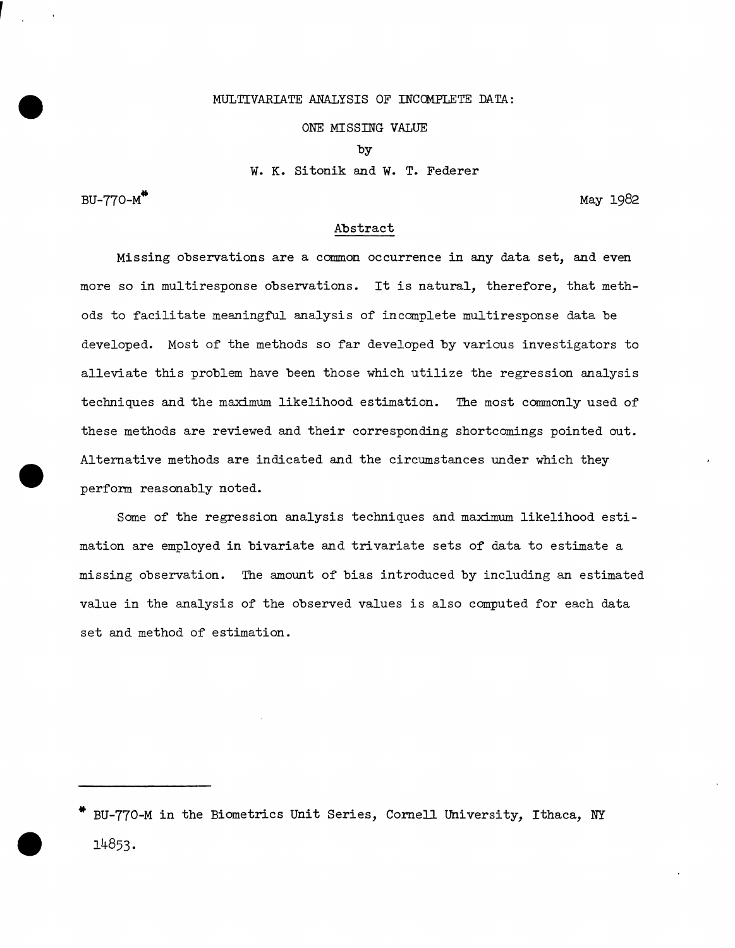# MULTIVARIATE ANALYSIS OF INCCMPLETE DATA:

### ONE MISSING VALUE

by

w. K. Sitonik and w. T. Federer

 $BU-770-M$ <sup>\*\*</sup>

•

•

May 1982

## Abstract

Missing observations are a common occurrence in any data set, and even more so in multiresponse observations. It is natural, therefore, that methods to facilitate meaningful analysis of incomplete multiresponse data be developed. Most of the methods so far developed by various investigators to alleviate this problem have been those which utilize the regression analysis techniques and the maximum likelihood estimation. The most commonly used of these methods are reviewed and their corresponding shortcomings pointed out. Alternative methods are indicated and the circumstances under which they perform reasonably noted.

Some of the regression analysis techniques and maximum likelihood estimation are employed in bivariate and trivariate sets of data to estimate a missing observation. The amount of bias introduced by including an estimated value in the analysis of the observed values is also computed for each data set and method of estimation.

BU-770-M in the Biometrics Unit Series, Cornell University, Ithaca, NY • l4853·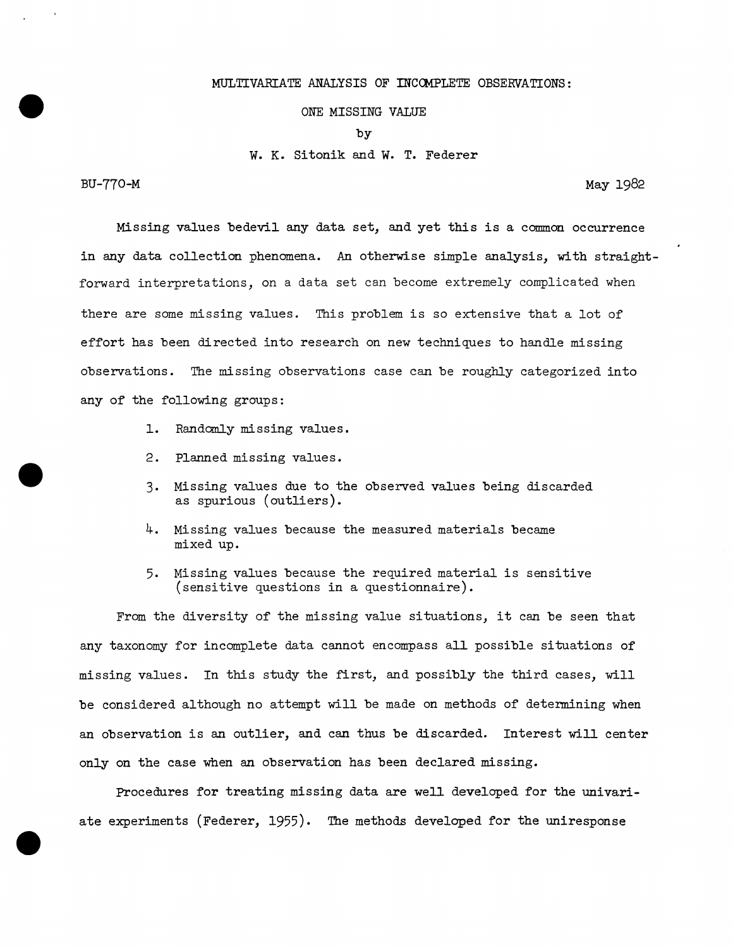# MULTIVARIATE ANALYSIS OF INCOMPLETE OBSERVATIONS:

## ONE MISSING VALUE

by

w. K. Sitonik and w. T. Federer

BU-770-M

•

•

•

May 1982

Missing values bedevil any data set, and yet this is a common occurrence in any data collection phenomena. An otherwise simple analysis, with straightforward interpretations, on a data set can become extremely complicated when there are some missing values. This problem is so extensive that a lot of effort has been directed into research on new techniques to handle missing observations. The missing observations case can be roughly categorized into any of the following groups:

- 1. Randomly missing values.
- 2. Planned missing values.
- 3. Missing values due to the observed values being discarded as spurious (outliers).
- 4. Missing values because the measured materials became mixed up.
- 5. Missing values because the required material is sensitive (sensitive questions in a questionnaire).

From the diversity of the missing value situations, it can be seen that any taxonomy for incomplete data cannot encompass all possible situations of missing values. In this study the first, and possibly the third cases, will be considered although no attempt will be made on methods of determining when an observation is an outlier, and can thus be discarded. Interest will center only on the case when an observation has been declared missing.

Procedures for treating missing data are well developed for the univariate experiments (Federer, 1955). The methods developed for the uniresponse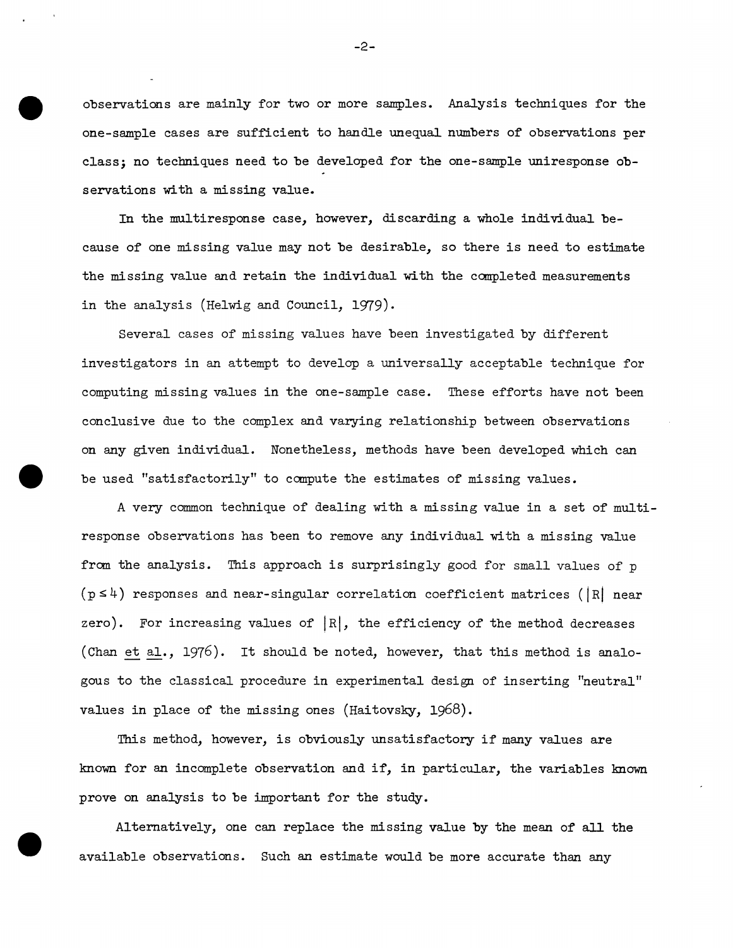observations are mainly for two or more samples. Analysis techniques for the one-sample cases are sufficient to handle unequal numbers of observations per class; no teclmiques need to be developed for the one-sample uniresponse observations with a missing value.

In the multiresponse case, however, discarding a whole individual because of one missing value may not be desirable, so there is need to estimate the missing value and retain the individual with the completed measurements in the analysis (Helwig and Council, 1979).

Several cases of missing values have been investigated by different investigators in an attempt to develop a universally acceptable teclmique for computing missing values in the one-sample case. These efforts have not been conclusive due to the complex and varying relationship between observations on any given individual. Nonetheless, methods have been developed which can • be used "satisfactorily" to compute the estimates of missing values.

A very common technique of dealing with a missing value in a set of multiresponse observations has been to remove any individual with a missing value from the analysis. This approach is surprisingly good for small values of p  $(p \le 4)$  responses and near-singular correlation coefficient matrices (|R| near zero). For increasing values of  $|R|$ , the efficiency of the method decreases (Chan et al., 1976). It should be noted, however, that this method is analogous to the classical procedure in experimental design of inserting "neutral" values in place of the missing ones (Haitovsky, 1968).

This method, however, is obviously unsatisfactory if many values are known for an incomplete observation and if, in particular, the variables known prove on analysis to be important for the study.

Alternatively, one can replace the missing value by the mean of all the available observations. Such an estimate would be more accurate than any

•

-2-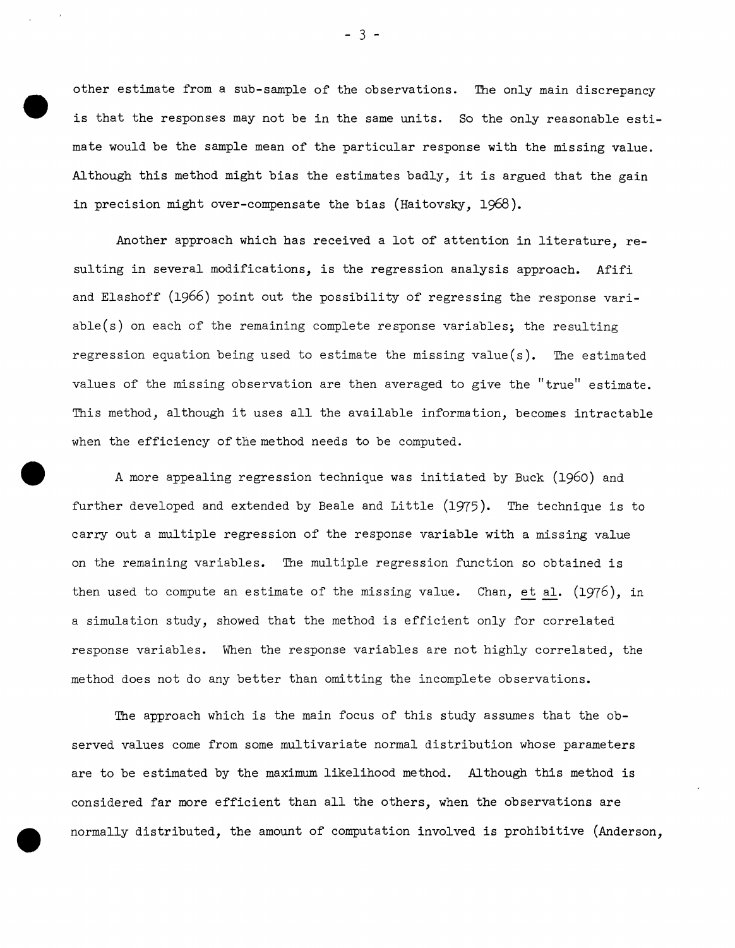$\begin{array}{c} \bullet \\ \bullet \\ \bullet \\ \bullet \\ \bullet \end{array}$ other estimate from a sub-sample of the observations. The only main discrepancy is that the responses may not be in the same units. So the only reasonable estimate would be the sample mean of the particular response with the missing value. Although this method might bias the estimates badly, it is argued that the gain in precision might over-compensate the bias (Haitovsky, 1968).

Another approach which has received a lot of attention in literature, resulting in several modifications, is the regression analysis approach. Afifi and Elashoff (1966) point out the possibility of regressing the response variable(s) on each of the remaining complete response variables; the resulting regression equation being used to estimate the missing value(s). The estimated values of the missing observation are then averaged to give the "true" estimate. This method, although it uses all the available information, becomes intractable when the efficiency of the method needs to be computed.

• A more appealing regression technique was initiated by Buck (1960) and further developed and extended by Beale and Little (1975). The technique is to carry out a multiple regression of the response variable with a missing value on the remaining variables. The multiple regression function so obtained is then used to compute an estimate of the missing value. Chan, et al. (1976), in a simulation study, showed that the method is efficient only for correlated response variables. When the response variables are not highly correlated, the method does not do any better than omitting the incomplete observations.

The approach which is the main focus of this study assumes that the observed values come from some multivariate normal distribution whose parameters are to be estimated by the maximum likelihood method. Although this method is considered far more efficient than all the others, when the observations are normally distributed, the amount of computation involved is prohibitive (Anderson,

•

- 3 -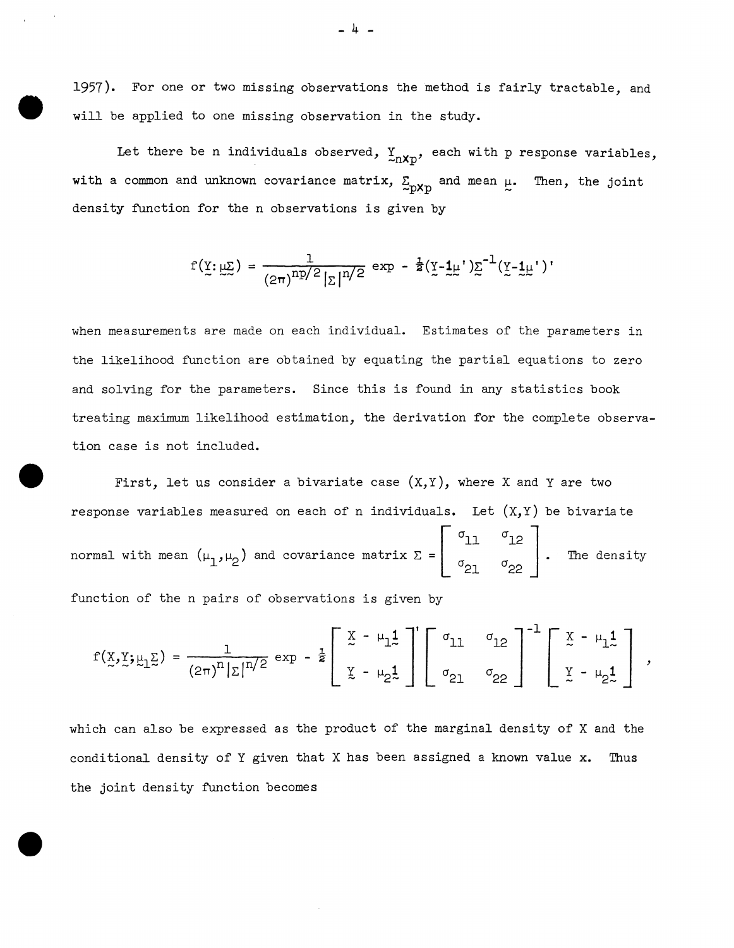1957). For one or two missing observations the method is fairly tractable, and will be applied to one missing observation in the study.

•

•

Let there be n individuals observed,  $Y_{nXp}$ , each with p response variables, with a common and unknown covariance matrix,  $\Sigma_{\text{DXD}}$  and mean  $\mu$ . Then, the joint density function for the n observations is given by

$$
f(\underline{y}; \underline{\mu \Sigma}) = \frac{1}{(2\pi)^{np/2} |\Sigma|^{n/2}} \exp - \frac{1}{2} (\underline{y} - \underline{1}\underline{\mu}') \underline{\Sigma}^{-1} (\underline{y} - \underline{1}\underline{\mu}')
$$

when measurements are made on each individual. Estimates of the parameters in the likelihood function are obtained by equating the partial equations to zero and solving for the parameters. Since this is found in any statistics book treating maximum likelihood estimation, the derivation for the complete observation case is not included.

• First, let us consider a bivariate case  $(X, Y)$ , where X and Y are two response variables measured on each of n individuals. Let  $(X,Y)$  be bivariate normal with mean  $(\mu_1^{},\mu_2^{})$  and covariance matrix  $\Sigma$  =  $|$ function of the n pairs of observations is given by  $\sigma_{11}$  $\sigma_{21}$  $\begin{bmatrix} \sigma_{12} \\ \sigma_{22} \end{bmatrix}$ . The density

 $f(\underline{x}, \underline{y}; \underline{\mu_1 \underline{z}}) = \frac{1}{(2\pi)^n |z|^{n/2}} \exp - \frac{1}{2} \left[ \begin{array}{ccc} \underline{x} - \mu_1 \underline{1} \\ z - \mu_2 \underline{1} \\ \underline{y} - \mu_2 \underline{1} \end{array} \right]^{n} \left[ \begin{array}{ccc} \sigma_{11} & \sigma_{12} \\ \sigma_{21} & \sigma_{22} \end{array} \right]^{-1} \left[ \begin{array}{ccc} \underline{x} - \mu_1 \underline{1} \\ \underline{y} - \mu_2 \underline{1} \end{array} \right],$ 

which can also be expressed as the product of the marginal density of X and the conditional density of Y given that X has been assigned a known value x. Thus the joint density function becomes

- 4 -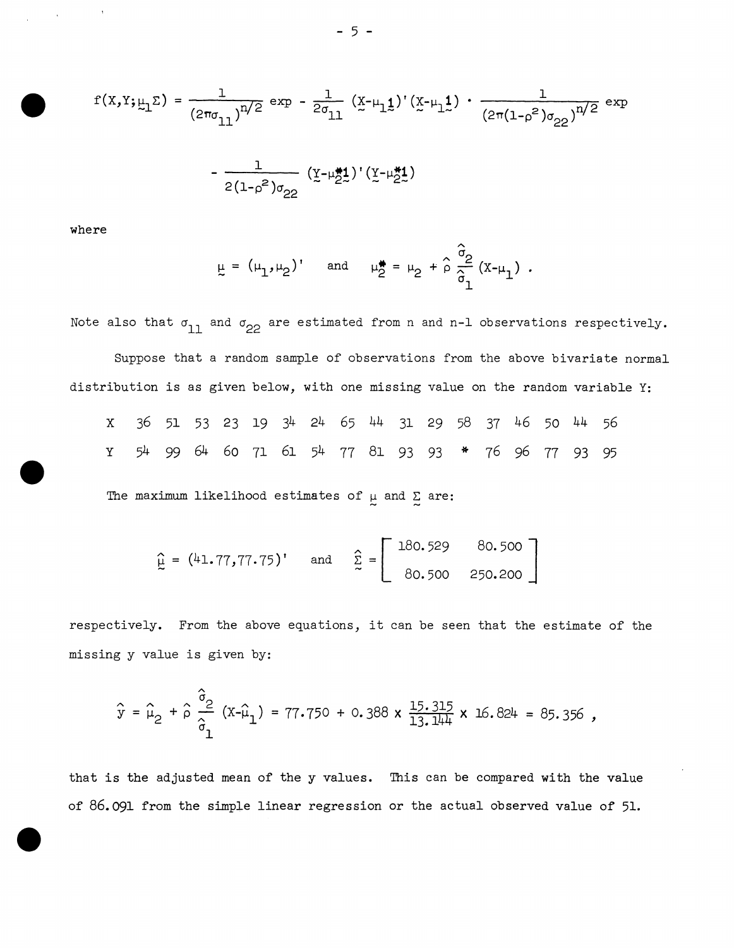$$
f(x,y;\mu_1 \Sigma) = \frac{1}{(2\pi\sigma_{11})^{n/2}} \exp - \frac{1}{2\sigma_{11}} (x-\mu_1 \mathbf{1}) (x-\mu_1 \mathbf{1}) \cdot \frac{1}{(2\pi(1-\rho^2)\sigma_{22})^{n/2}} \exp
$$

$$
- \frac{1}{2(1-\rho^2)\sigma_{22}} (y-\mu_2 \mathbf{1}) (y-\mu_2 \mathbf{1})
$$

where

•

•

$$
\mu = (\mu_1, \mu_2) \text{ and } \mu_2^* = \mu_2 + \hat{\rho} \frac{\partial}{\partial x} (x - \mu_1) \text{ .}
$$

Note also that  $\sigma_{11}$  and  $\sigma_{22}$  are estimated from n and n-1 observations respectively.

Suppose that a random sample of observations from the above bivariate normal distribution is as given below, with one missing value on the random variable Y:

|  |  |  |  |  |  |  |  | X 36 51 53 23 19 34 24 65 44 31 29 58 37 46 50 44 56 |  |
|--|--|--|--|--|--|--|--|------------------------------------------------------|--|
|  |  |  |  |  |  |  |  | Y 54 99 64 60 71 61 54 77 81 93 93 * 76 96 77 93 95  |  |

The maximum likelihood estimates of  $\mu$  and  $\Sigma$  are:

$$
\hat{L} = (41.77, 77.75)
$$
 and  $\hat{L} = \begin{bmatrix} 180.529 & 80.500 \\ 80.500 & 250.200 \end{bmatrix}$ 

respectively. From the above equations, it can be seen that the estimate of the missing y value is given by:

$$
\hat{y} = \hat{\mu}_2 + \hat{\rho} \frac{\hat{\sigma}_2}{\hat{\sigma}_1} (x - \hat{\mu}_1) = 77.750 + 0.388 \times \frac{15.315}{13.144} \times 16.824 = 85.356
$$

• that is the adjusted mean of the y values. This can be compared with the value of 86.091 from the simple linear regression or the actual observed value of 51.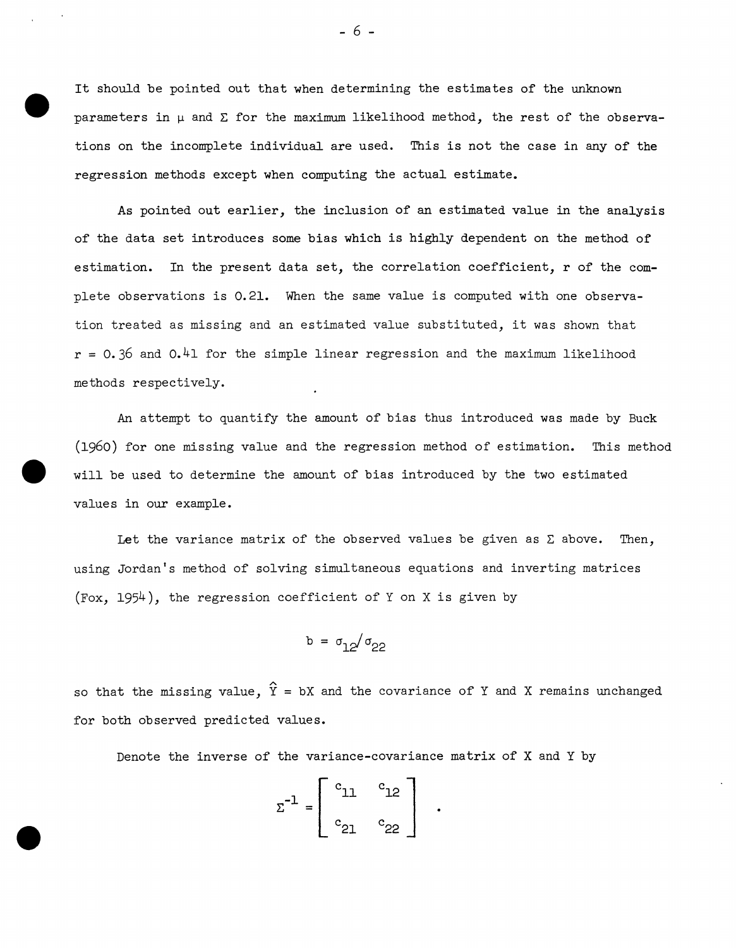$\begin{array}{c} \bullet \\ \bullet \\ \bullet \\ \bullet \\ \bullet \end{array}$ It should be pointed out that when determining the estimates of the unknown parameters in  $\mu$  and  $\Sigma$  for the maximum likelihood method, the rest of the observations on the incomplete individual are used. This is not the case in any of the regression methods except when computing the actual estimate.

As pointed out earlier, the inclusion of an estimated value in the analysis of the data set introduces some bias which is highly dependent on the method of estimation. In the present data set, the correlation coefficient, r of the complete observations is 0.21. When the same value is computed with one observation treated as missing and an estimated value substituted, it was shown that  $r = 0.36$  and  $0.41$  for the simple linear regression and the maximum likelihood methods respectively.

An attempt to quantify the amount of bias thus introduced was made by Buck (1960) for one missing value and the regression method of estimation. This method will be used to determine the amount of bias introduced by the two estimated values in our example.

Let the variance matrix of the observed values be given as  $\Sigma$  above. Then, using Jordan's method of solving simultaneous equations and inverting matrices (Fox,  $1954$ ), the regression coefficient of Y on X is given by

$$
b = \sigma_{12}/\sigma_{22}
$$

so that the missing value,  $\widehat{Y}$  = bX and the covariance of Y and X remains unchanged for both observed predicted values.

Denote the inverse of the variance-covariance matrix of X and Y by

$$
\Sigma^{-1} = \left[ \begin{array}{cc} c_{11} & c_{12} \\ c_{21} & c_{22} \end{array} \right]
$$

•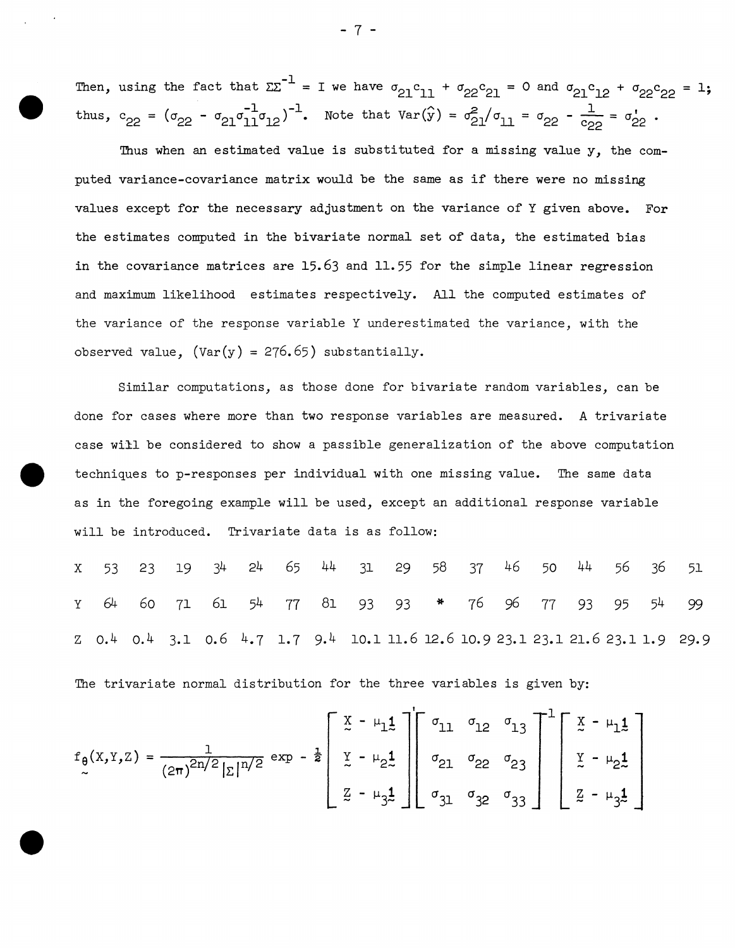• Then, using the fact that  $\Sigma\Sigma^{-1}$  = I we have  $\sigma_{21}c_{11}$  +  $\sigma_{22}c_{21}$  = thus,  $c_{22} = (\sigma_{22} - \sigma_{21}\sigma_{11}^{1}\sigma_{12})^{-1}$ . Note that  $Var(\hat{y}) = \sigma_{21}^{2}/\sigma_{11} =$ 

Thus when an estimated value is substituted for a missing value y, the computed variance-covariance matrix would be the same as if there were no missing values *except* for the necessary adjustment on the variance of Y given above. For the estimates computed in the bivariate normal set of data, the estimated bias in the covariance matrices are 15.63 and 11.55 for the simple linear regression and maximum likelihood estimates respectively. All the computed estimates of the variance of the response variable Y underestimated the variance, with the observed value,  $(Var(y) = 276.65)$  substantially.

Similar computations, as those done for bivariate random variables, can be done for cases where more than two response variables are measured. A trivariate case will be considered to show a passible generalization of the above computation • techniques to p-responses *per* individual with one missing value. The same data as in the foregoing example will be used, *except* an additional response variable will be introduced. Trivariate data is as follow:

X 53 23 19 24 44 31 29 58 37 46 50 44 56 36 51 <sup>y</sup>64 *60* 71 61 77 81 93 93 \* 77 93 95 54 99 z o.4 o.4 3.1 o.6 4.7 1.7 9.4 10.1 11.6 12.6 10.9 23.1 23.1 21.6 23.1 1.9 29.9

The trivariate normal distribution for the three variables is given by:

$$
f_{\theta}(x,y,z) = \frac{1}{(2\pi)^{2n/2} |z|^{n/2}} \exp \left[-\frac{1}{2} \left[ \begin{array}{ccc} x - \mu_1 \frac{1}{2} \\ x - \mu_2 \frac{1}{2} \\ \frac{1}{2} - \mu_3 \frac{1}{2} \end{array} \right] \left[ \begin{array}{ccc} \sigma_{11} & \sigma_{12} & \sigma_{13} \\ \sigma_{21} & \sigma_{22} & \sigma_{23} \\ \sigma_{31} & \sigma_{32} & \sigma_{33} \end{array} \right]^{-1} \left[ \begin{array}{ccc} x - \mu_1 \frac{1}{2} \\ x - \mu_2 \frac{1}{2} \\ \frac{1}{2} - \mu_3 \frac{1}{2} \end{array} \right]
$$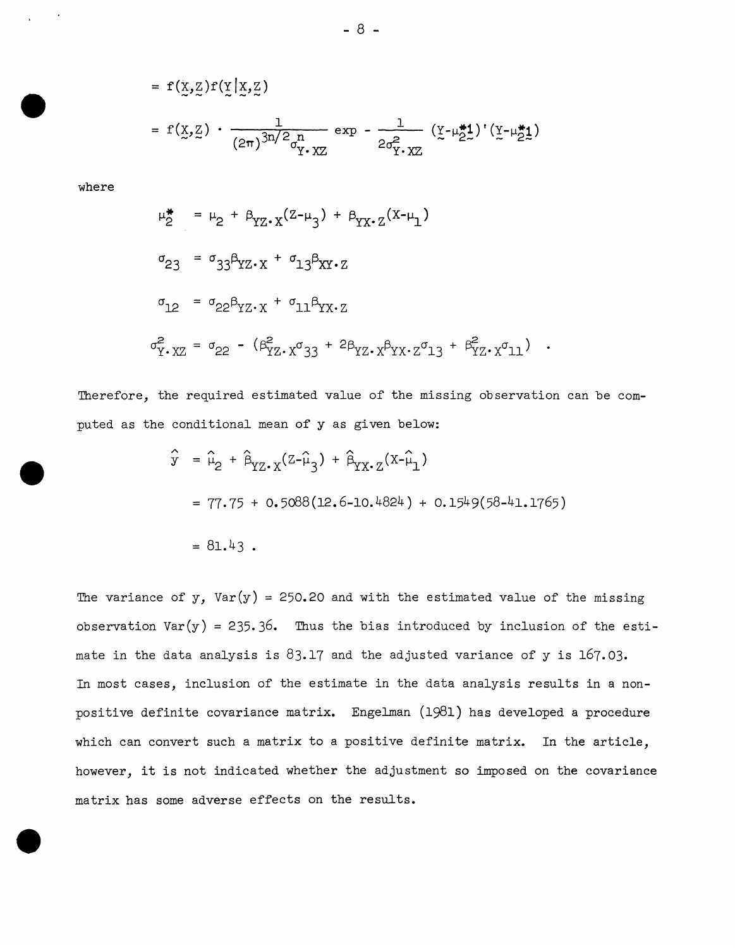$$
= f(\underline{x}, \underline{z}) f(\underline{y} | \underline{x}, \underline{z})
$$
  

$$
= f(\underline{x}, \underline{z}) \cdot \frac{1}{(2\pi)^{3n/2} \sigma_{\underline{Y} \cdot \underline{X} \underline{Z}}} \exp - \frac{1}{2\sigma_{\underline{Y} \cdot \underline{X} \underline{Z}}^2} (\underline{y} - \mu_{\underline{Z} \underline{Z}}^{\underline{\ast}}) (\underline{y} - \mu_{\underline{Z} \underline{Z}}^{\underline{\ast}})
$$

where

•

$$
\mu_2^* = \mu_2 + \beta_{YZ} (Z - \mu_3) + \beta_{YX} (X - \mu_1)
$$
  
\n
$$
\sigma_{23} = \sigma_{33} \beta_{YZ} \cdot x + \sigma_{13} \beta_{XY} \cdot z
$$
  
\n
$$
\sigma_{12} = \sigma_{22} \beta_{YZ} \cdot x + \sigma_{11} \beta_{YX} \cdot z
$$
  
\n
$$
\sigma_{Y}^2 \cdot xZ = \sigma_{22} - (\beta_{YZ}^2 \cdot x \sigma_{33} + 2 \beta_{YZ} \cdot x \beta_{YX} \cdot z \sigma_{13} + \beta_{YZ}^2 \cdot x \sigma_{11})
$$

Therefore, the required estimated value of the missing observation can be computed as the conditional mean of y as given below:

$$
\hat{y} = \hat{\mu}_2 + \hat{\beta}_{YZ \cdot X}(z - \hat{\mu}_3) + \hat{\beta}_{YX \cdot Z}(x - \hat{\mu}_1)
$$
  
= 77.75 + 0.5088(12.6 - 10.4824) + 0.1549(58 - 41.1765)  
= 81.43.

The variance of y,  $Var(y) = 250.20$  and with the estimated value of the missing observation Var $(y)$  = 235.36. Thus the bias introduced by inclusion of the estimate in the data analysis is  $83.17$  and the adjusted variance of y is  $167.03$ . In most cases, inclusion of the estimate in the data analysis results in a nonpositive definite covariance matrix. Engelman (1981) has developed a procedure which can convert such a matrix to a positive definite matrix. In the article, however, it is not indicated whether the adjustment so imposed on the covariance matrix has some adverse effects on the results.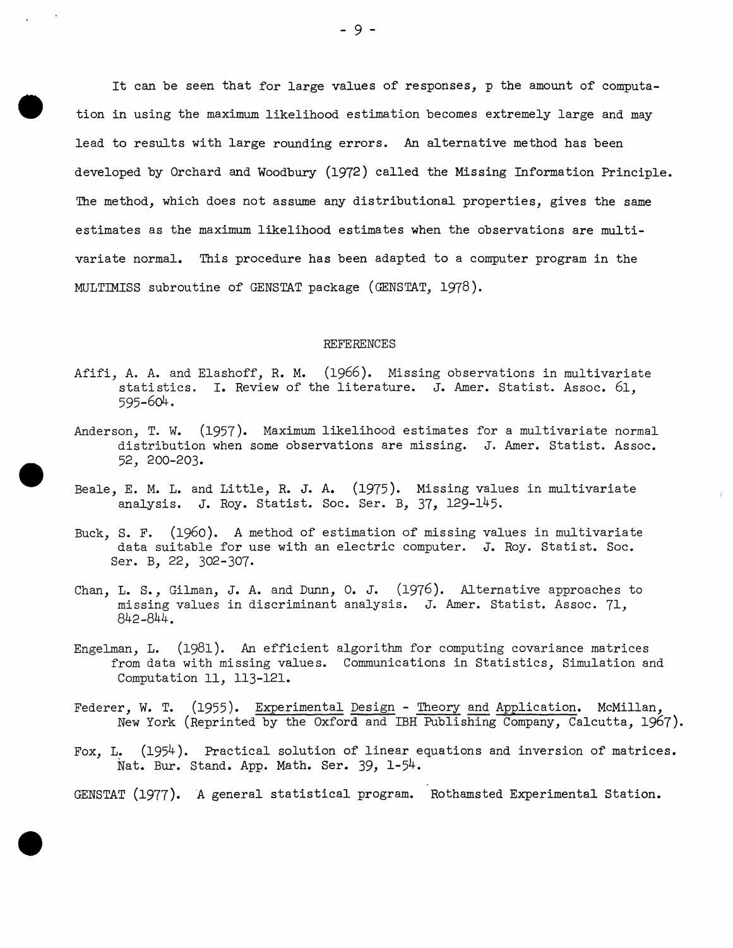It can be seen that for large values of responses, *p* the amount of computation in using the maximum likelihood estimation becomes extremely large and may lead to results with large rounding errors. An alternative method has been developed by Orchard and Woodbury (1972) called the Missing Information Principle. The method, which does not assume any distributional properties, gives the same estimates as the maximum likelihood estimates when the observations are multivariate normal. This procedure has been adapted to a computer program in the MULTIMISS subroutine of GENSTAT package (GENSTAT, 1978).

#### REFERENCES

- Afifi, A. A. and Elashoff, R. M. (1966). Missing observations in multivariate statistics. I. Review of the literature. J. Amer. Statist. Assoc. 61, 595-6o4.
- Anderson, T. W. (1957). Maximum likelihood estimates for a multivariate normal distribution when some observations are missing. J. Amer. Statist. Assoc. 52, 200-203 •
- Beale, E. M. L. and Little, R. J. A. (1975). Missing values in multivariate analysis. J. Roy. Statist. Soc. Ser. B, 37, 129-145.
- Buck, S. F. (1960). A method of estimation of missing values in multivariate data suitable for use with an electric computer. *J.* Roy. Statist. Soc. Ser. B, 22, 302-307.
- Chan, L. S., Gilman, *J.* A. and Dunn, 0. *J.* (1976). Alternative approaches to missing values in discriminant analysis. *J.* Amer. Statist. Assoc. 71, 842-844.
- Engelman, L. (1981). An efficient algorithm for computing covariance matrices from data with missing values. Communications in Statistics, Simulation and Computation 11, 113-121.
- Federer, W. T. (1955). Experimental Design Theory and Application. McMillan, New York (Reprinted by the Oxford and IBH Publishing Company, Calcutta, 1967).
- Fox, L. (1954). Practical solution of linear equations and inversion of matrices. Nat. Bur. Stand. *App.* Math. Ser. 39, 1-54.

GENSTAT (1977). A general statistical program. Rothamsted Experimental Station.

•

•

•